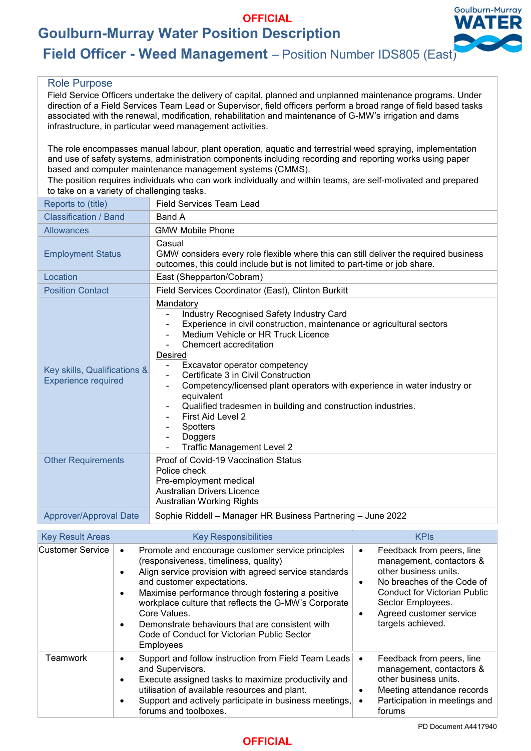# **OFFICIAL**

**Goulburn-Murray Water Position Description**



# **Field Officer - Weed Management** – Position Number IDS805 (East)

## Role Purpose

Field Service Officers undertake the delivery of capital, planned and unplanned maintenance programs. Under direction of a Field Services Team Lead or Supervisor, field officers perform a broad range of field based tasks associated with the renewal, modification, rehabilitation and maintenance of G-MW's irrigation and dams infrastructure, in particular weed management activities.

The role encompasses manual labour, plant operation, aquatic and terrestrial weed spraying, implementation and use of safety systems, administration components including recording and reporting works using paper based and computer maintenance management systems (CMMS).

The position requires individuals who can work individually and within teams, are self-motivated and prepared to take on a variety of challenging tasks.

| Reports to (title)                                         | <b>Field Services Team Lead</b>                                                                                                                                                                                                                                                                                                                                                                                                                                                                                                            |  |
|------------------------------------------------------------|--------------------------------------------------------------------------------------------------------------------------------------------------------------------------------------------------------------------------------------------------------------------------------------------------------------------------------------------------------------------------------------------------------------------------------------------------------------------------------------------------------------------------------------------|--|
| Classification / Band                                      | Band A                                                                                                                                                                                                                                                                                                                                                                                                                                                                                                                                     |  |
| <b>Allowances</b>                                          | <b>GMW Mobile Phone</b>                                                                                                                                                                                                                                                                                                                                                                                                                                                                                                                    |  |
| <b>Employment Status</b>                                   | Casual<br>GMW considers every role flexible where this can still deliver the required business<br>outcomes, this could include but is not limited to part-time or job share.                                                                                                                                                                                                                                                                                                                                                               |  |
| Location                                                   | East (Shepparton/Cobram)                                                                                                                                                                                                                                                                                                                                                                                                                                                                                                                   |  |
| <b>Position Contact</b>                                    | Field Services Coordinator (East), Clinton Burkitt                                                                                                                                                                                                                                                                                                                                                                                                                                                                                         |  |
| Key skills, Qualifications &<br><b>Experience required</b> | Mandatory<br><b>Industry Recognised Safety Industry Card</b><br>Experience in civil construction, maintenance or agricultural sectors<br>Medium Vehicle or HR Truck Licence<br>Chemcert accreditation<br><b>Desired</b><br>Excavator operator competency<br>Certificate 3 in Civil Construction<br>Competency/licensed plant operators with experience in water industry or<br>equivalent<br>Qualified tradesmen in building and construction industries.<br>First Aid Level 2<br>Spotters<br>Doggers<br><b>Traffic Management Level 2</b> |  |
| <b>Other Requirements</b>                                  | Proof of Covid-19 Vaccination Status<br>Police check<br>Pre-employment medical<br><b>Australian Drivers Licence</b><br><b>Australian Working Rights</b>                                                                                                                                                                                                                                                                                                                                                                                    |  |
| Approver/Approval Date                                     | Sophie Riddell - Manager HR Business Partnering - June 2022                                                                                                                                                                                                                                                                                                                                                                                                                                                                                |  |

| <b>Key Result Areas</b> | <b>Key Responsibilities</b>                                                                                                                                                                                                                                                                                                                                                                                                                       | <b>KPIS</b>                                                                                                                                                                                                                                        |
|-------------------------|---------------------------------------------------------------------------------------------------------------------------------------------------------------------------------------------------------------------------------------------------------------------------------------------------------------------------------------------------------------------------------------------------------------------------------------------------|----------------------------------------------------------------------------------------------------------------------------------------------------------------------------------------------------------------------------------------------------|
| Customer Service        | Promote and encourage customer service principles<br>$\bullet$<br>(responsiveness, timeliness, quality)<br>Align service provision with agreed service standards<br>and customer expectations.<br>Maximise performance through fostering a positive<br>workplace culture that reflects the G-MW's Corporate<br>Core Values.<br>Demonstrate behaviours that are consistent with<br>Code of Conduct for Victorian Public Sector<br><b>Employees</b> | Feedback from peers, line<br>$\bullet$<br>management, contactors &<br>other business units.<br>No breaches of the Code of<br>$\bullet$<br><b>Conduct for Victorian Public</b><br>Sector Employees.<br>Agreed customer service<br>targets achieved. |
| Teamwork                | Support and follow instruction from Field Team Leads<br>and Supervisors.<br>Execute assigned tasks to maximize productivity and<br>utilisation of available resources and plant.<br>Support and actively participate in business meetings,<br>forums and toolboxes.                                                                                                                                                                               | Feedback from peers, line<br>$\bullet$<br>management, contactors &<br>other business units.<br>Meeting attendance records<br>Participation in meetings and<br>forums                                                                               |

PD Document A4417940

## **OFFICIAL**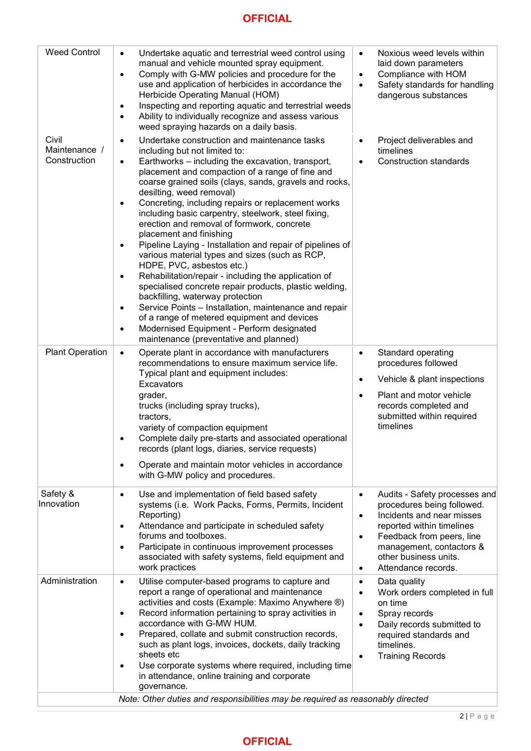# **OFFICIAL**

| <b>Weed Control</b>                    | Undertake aquatic and terrestrial weed control using<br>$\bullet$<br>manual and vehicle mounted spray equipment.<br>Comply with G-MW policies and procedure for the<br>$\bullet$<br>use and application of herbicides in accordance the<br>Herbicide Operating Manual (HOM)<br>Inspecting and reporting aquatic and terrestrial weeds<br>$\bullet$<br>Ability to individually recognize and assess various<br>$\bullet$<br>weed spraying hazards on a daily basis.                                                                                                                                                                                                                                                                                                                                                                                                                                                                                                                                                                                            | Noxious weed levels within<br>$\bullet$<br>laid down parameters<br>Compliance with HOM<br>$\bullet$<br>Safety standards for handling<br>$\bullet$<br>dangerous substances                                                                                                          |
|----------------------------------------|---------------------------------------------------------------------------------------------------------------------------------------------------------------------------------------------------------------------------------------------------------------------------------------------------------------------------------------------------------------------------------------------------------------------------------------------------------------------------------------------------------------------------------------------------------------------------------------------------------------------------------------------------------------------------------------------------------------------------------------------------------------------------------------------------------------------------------------------------------------------------------------------------------------------------------------------------------------------------------------------------------------------------------------------------------------|------------------------------------------------------------------------------------------------------------------------------------------------------------------------------------------------------------------------------------------------------------------------------------|
| Civil<br>Maintenance /<br>Construction | Undertake construction and maintenance tasks<br>$\bullet$<br>including but not limited to:<br>Earthworks - including the excavation, transport,<br>$\bullet$<br>placement and compaction of a range of fine and<br>coarse grained soils (clays, sands, gravels and rocks,<br>desilting, weed removal)<br>Concreting, including repairs or replacement works<br>$\bullet$<br>including basic carpentry, steelwork, steel fixing,<br>erection and removal of formwork, concrete<br>placement and finishing<br>Pipeline Laying - Installation and repair of pipelines of<br>$\bullet$<br>various material types and sizes (such as RCP,<br>HDPE, PVC, asbestos etc.)<br>Rehabilitation/repair - including the application of<br>$\bullet$<br>specialised concrete repair products, plastic welding,<br>backfilling, waterway protection<br>Service Points - Installation, maintenance and repair<br>$\bullet$<br>of a range of metered equipment and devices<br>Modernised Equipment - Perform designated<br>$\bullet$<br>maintenance (preventative and planned) | Project deliverables and<br>$\bullet$<br>timelines<br><b>Construction standards</b><br>$\bullet$                                                                                                                                                                                   |
| <b>Plant Operation</b>                 | Operate plant in accordance with manufacturers<br>$\bullet$<br>recommendations to ensure maximum service life.<br>Typical plant and equipment includes:<br>Excavators<br>grader,<br>trucks (including spray trucks),<br>tractors,<br>variety of compaction equipment<br>Complete daily pre-starts and associated operational<br>٠<br>records (plant logs, diaries, service requests)<br>Operate and maintain motor vehicles in accordance<br>$\bullet$<br>with G-MW policy and procedures.                                                                                                                                                                                                                                                                                                                                                                                                                                                                                                                                                                    | Standard operating<br>$\bullet$<br>procedures followed<br>Vehicle & plant inspections<br>$\bullet$<br>Plant and motor vehicle<br>$\bullet$<br>records completed and<br>submitted within required<br>timelines                                                                      |
| Safety &<br>Innovation                 | Use and implementation of field based safety<br>$\bullet$<br>systems (i.e. Work Packs, Forms, Permits, Incident<br>Reporting)<br>Attendance and participate in scheduled safety<br>$\bullet$<br>forums and toolboxes.<br>Participate in continuous improvement processes<br>$\bullet$<br>associated with safety systems, field equipment and<br>work practices                                                                                                                                                                                                                                                                                                                                                                                                                                                                                                                                                                                                                                                                                                | Audits - Safety processes and<br>$\bullet$<br>procedures being followed.<br>Incidents and near misses<br>$\bullet$<br>reported within timelines<br>Feedback from peers, line<br>$\bullet$<br>management, contactors &<br>other business units.<br>Attendance records.<br>$\bullet$ |
| Administration                         | Utilise computer-based programs to capture and<br>$\bullet$<br>report a range of operational and maintenance<br>activities and costs (Example: Maximo Anywhere ®)<br>Record information pertaining to spray activities in<br>$\bullet$<br>accordance with G-MW HUM.<br>Prepared, collate and submit construction records,<br>$\bullet$<br>such as plant logs, invoices, dockets, daily tracking<br>sheets etc<br>Use corporate systems where required, including time<br>$\bullet$<br>in attendance, online training and corporate<br>governance.<br>Note: Other duties and responsibilities may be required as reasonably directed                                                                                                                                                                                                                                                                                                                                                                                                                           | Data quality<br>$\bullet$<br>Work orders completed in full<br>$\bullet$<br>on time<br>Spray records<br>$\bullet$<br>Daily records submitted to<br>$\bullet$<br>required standards and<br>timelines.<br><b>Training Records</b><br>$\bullet$                                        |